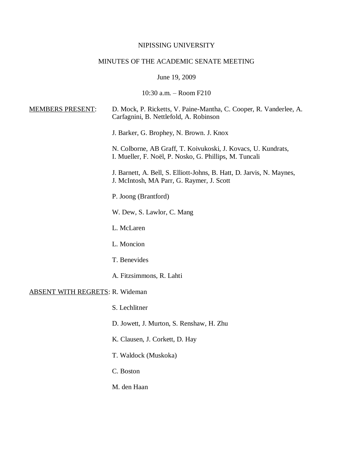# NIPISSING UNIVERSITY

# MINUTES OF THE ACADEMIC SENATE MEETING

June 19, 2009

10:30 a.m. – Room F210

| <b>MEMBERS PRESENT:</b>                | D. Mock, P. Ricketts, V. Paine-Mantha, C. Cooper, R. Vanderlee, A.<br>Carfagnini, B. Nettlefold, A. Robinson            |
|----------------------------------------|-------------------------------------------------------------------------------------------------------------------------|
|                                        | J. Barker, G. Brophey, N. Brown. J. Knox                                                                                |
|                                        | N. Colborne, AB Graff, T. Koivukoski, J. Kovacs, U. Kundrats,<br>I. Mueller, F. Noël, P. Nosko, G. Phillips, M. Tuncali |
|                                        | J. Barnett, A. Bell, S. Elliott-Johns, B. Hatt, D. Jarvis, N. Maynes,<br>J. McIntosh, MA Parr, G. Raymer, J. Scott      |
|                                        | P. Joong (Brantford)                                                                                                    |
|                                        | W. Dew, S. Lawlor, C. Mang                                                                                              |
|                                        | L. McLaren                                                                                                              |
|                                        | L. Moncion                                                                                                              |
|                                        | T. Benevides                                                                                                            |
|                                        | A. Fitzsimmons, R. Lahti                                                                                                |
| <b>ABSENT WITH REGRETS: R. Wideman</b> |                                                                                                                         |
|                                        | S. Lechlitner                                                                                                           |
|                                        | D. Jowett, J. Murton, S. Renshaw, H. Zhu                                                                                |
|                                        | K. Clausen, J. Corkett, D. Hay                                                                                          |
|                                        | T. Waldock (Muskoka)                                                                                                    |
|                                        | C. Boston                                                                                                               |
|                                        | M. den Haan                                                                                                             |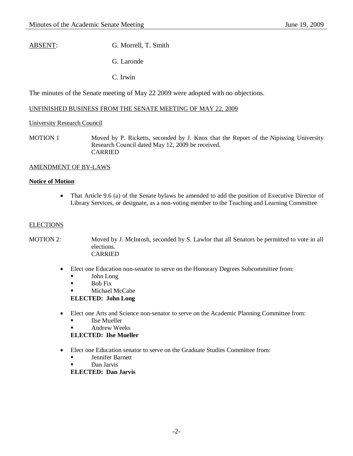# ABSENT: G. Morrell, T. Smith

G. Laronde

C. Irwin

The minutes of the Senate meeting of May 22 2009 were adopted with no objections.

## UNFINISHED BUSINESS FROM THE SENATE MEETING OF MAY 22, 2009

## University Research Council

MOTION 1 Moved by P. Ricketts, seconded by J. Knox that the Report of the Nipissing University Research Council dated May 12, 2009 be received. CARRIED

## AMENDMENT OF BY-LAWS

#### **Notice of Motion**

• That Article 9.6 (a) of the Senate bylaws be amended to add the position of Executive Director of Library Services, or designate, as a non-voting member to the Teaching and Learning Committee

## **ELECTIONS**

MOTION 2: Moved by J. McIntosh, seconded by S. Lawlor that all Senators be permitted to vote in all elections. CARRIED

#### Elect one Education non-senator to serve on the Honorary Degrees Subcommittee from:

- John Long
- $\blacksquare$  Bob Fix
- Michael McCabe

**ELECTED: John Long**

- Elect one Arts and Science non-senator to serve on the Academic Planning Committee from:
	- **Ilse Mueller**
	- Andrew Weeks

**ELECTED: Ilse Mueller**

- Elect one Education senator to serve on the Graduate Studies Committee from:
	- **Jennifer Barnett**
	- Dan Jarvis

**ELECTED: Dan Jarvis**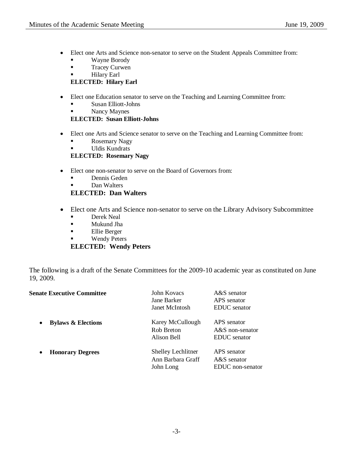- Elect one Arts and Science non-senator to serve on the Student Appeals Committee from:
	- **Wayne Borody**
	- **Tracey Curwen**
	- **Hilary Earl**

## **ELECTED: Hilary Earl**

- Elect one Education senator to serve on the Teaching and Learning Committee from:
	- Susan Elliott-Johns
	- Nancy Maynes

**ELECTED: Susan Elliott-Johns**

- Elect one Arts and Science senator to serve on the Teaching and Learning Committee from:
	- **Rosemary Nagy**
	- **Uldis Kundrats**

## **ELECTED: Rosemary Nagy**

- Elect one non-senator to serve on the Board of Governors from:
	- **Dennis Geden**
	- **Dan Walters**

**ELECTED: Dan Walters**

- Elect one Arts and Science non-senator to serve on the Library Advisory Subcommittee
	- Derek Neal
	- Mukund Jha
	- Ellie Berger
	- Wendy Peters

## **ELECTED: Wendy Peters**

The following is a draft of the Senate Committees for the 2009-10 academic year as constituted on June 19, 2009.

| <b>Senate Executive Committee</b>          | John Kovacs<br>Jane Barker<br>Janet McIntosh                | $A&S$ senator<br>APS senator<br>EDUC senator     |
|--------------------------------------------|-------------------------------------------------------------|--------------------------------------------------|
| <b>Bylaws &amp; Elections</b><br>$\bullet$ | Karey McCullough<br>Rob Breton<br>Alison Bell               | APS senator<br>$A&S$ non-senator<br>EDUC senator |
| <b>Honorary Degrees</b><br>$\bullet$       | <b>Shelley Lechlitner</b><br>Ann Barbara Graff<br>John Long | APS senator<br>$A&S$ senator<br>EDUC non-senator |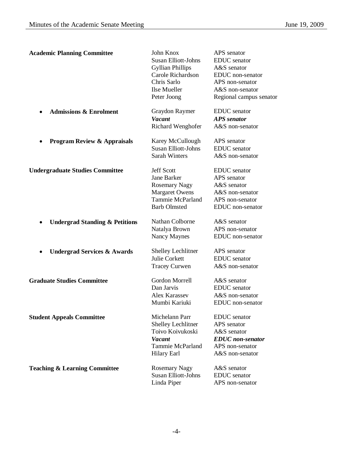| <b>Academic Planning Committee</b>        | John Knox<br><b>Susan Elliott-Johns</b><br><b>Gyllian Phillips</b><br>Carole Richardson<br>Chris Sarlo<br>Ilse Mueller<br>Peter Joong | APS senator<br><b>EDUC</b> senator<br>A&S senator<br>EDUC non-senator<br>APS non-senator<br>A&S non-senator<br>Regional campus senator |
|-------------------------------------------|---------------------------------------------------------------------------------------------------------------------------------------|----------------------------------------------------------------------------------------------------------------------------------------|
| <b>Admissions &amp; Enrolment</b>         | Graydon Raymer<br><b>Vacant</b><br>Richard Wenghofer                                                                                  | <b>EDUC</b> senator<br><b>APS</b> senator<br>A&S non-senator                                                                           |
| <b>Program Review &amp; Appraisals</b>    | Karey McCullough<br><b>Susan Elliott-Johns</b><br><b>Sarah Winters</b>                                                                | APS senator<br><b>EDUC</b> senator<br>A&S non-senator                                                                                  |
| <b>Undergraduate Studies Committee</b>    | <b>Jeff Scott</b><br>Jane Barker<br><b>Rosemary Nagy</b><br><b>Margaret Owens</b><br><b>Tammie McParland</b><br><b>Barb Olmsted</b>   | <b>EDUC</b> senator<br>APS senator<br>A&S senator<br>A&S non-senator<br>APS non-senator<br>EDUC non-senator                            |
| <b>Undergrad Standing &amp; Petitions</b> | Nathan Colborne<br>Natalya Brown<br>Nancy Maynes                                                                                      | A&S senator<br>APS non-senator<br>EDUC non-senator                                                                                     |
| <b>Undergrad Services &amp; Awards</b>    | <b>Shelley Lechlitner</b><br><b>Julie Corkett</b><br><b>Tracey Curwen</b>                                                             | APS senator<br><b>EDUC</b> senator<br>A&S non-senator                                                                                  |
| <b>Graduate Studies Committee</b>         | Gordon Morrell<br>Dan Jarvis<br>Alex Karassev<br>Mumbi Kariuki                                                                        | A&S senator<br><b>EDUC</b> senator<br>A&S non-senator<br>EDUC non-senator                                                              |
| <b>Student Appeals Committee</b>          | Michelann Parr<br><b>Shelley Lechlitner</b><br>Toivo Koivukoski<br><b>Vacant</b><br>Tammie McParland<br><b>Hilary Earl</b>            | <b>EDUC</b> senator<br>APS senator<br>A&S senator<br><b>EDUC</b> non-senator<br>APS non-senator<br>A&S non-senator                     |
| <b>Teaching &amp; Learning Committee</b>  | <b>Rosemary Nagy</b><br><b>Susan Elliott-Johns</b><br>Linda Piper                                                                     | A&S senator<br><b>EDUC</b> senator<br>APS non-senator                                                                                  |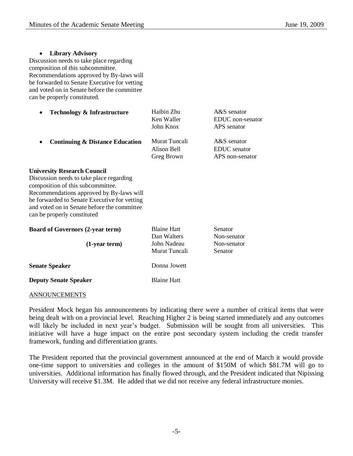| <b>Library Advisory</b><br>Discussion needs to take place regarding<br>composition of this subcommittee.<br>Recommendations approved by By-laws will<br>be forwarded to Senate Executive for vetting<br>and voted on in Senate before the committee<br>can be properly constituted.           |                                                                   |                                                       |
|-----------------------------------------------------------------------------------------------------------------------------------------------------------------------------------------------------------------------------------------------------------------------------------------------|-------------------------------------------------------------------|-------------------------------------------------------|
| <b>Technology &amp; Infrastructure</b>                                                                                                                                                                                                                                                        | Haibin Zhu<br>Ken Waller<br>John Knox                             | A&S senator<br>EDUC non-senator<br>APS senator        |
| <b>Continuing &amp; Distance Education</b>                                                                                                                                                                                                                                                    | Murat Tuncali<br>Alison Bell<br>Greg Brown                        | A&S senator<br><b>EDUC</b> senator<br>APS non-senator |
| <b>University Research Council</b><br>Discussion needs to take place regarding<br>composition of this subcommittee.<br>Recommendations approved by By-laws will<br>be forwarded to Senate Executive for vetting<br>and voted on in Senate before the committee<br>can be properly constituted |                                                                   |                                                       |
| <b>Board of Governors (2-year term)</b><br>(1-year term)                                                                                                                                                                                                                                      | <b>Blaine Hatt</b><br>Dan Walters<br>John Nadeau<br>Murat Tuncali | Senator<br>Non-senator<br>Non-senator<br>Senator      |
| <b>Senate Speaker</b>                                                                                                                                                                                                                                                                         | Donna Jowett                                                      |                                                       |
| <b>Deputy Senate Speaker</b>                                                                                                                                                                                                                                                                  | <b>Blaine Hatt</b>                                                |                                                       |

#### ANNOUNCEMENTS

President Mock began his announcements by indicating there were a number of critical items that were being dealt with on a provincial level. Reaching Higher 2 is being started immediately and any outcomes will likely be included in next year's budget. Submission will be sought from all universities. This initiative will have a huge impact on the entire post secondary system including the credit transfer framework, funding and differentiation grants.

The President reported that the provincial government announced at the end of March it would provide one-time support to universities and colleges in the amount of \$150M of which \$81.7M will go to universities. Additional information has finally flowed through, and the President indicated that Nipissing University will receive \$1.3M. He added that we did not receive any federal infrastructure monies.